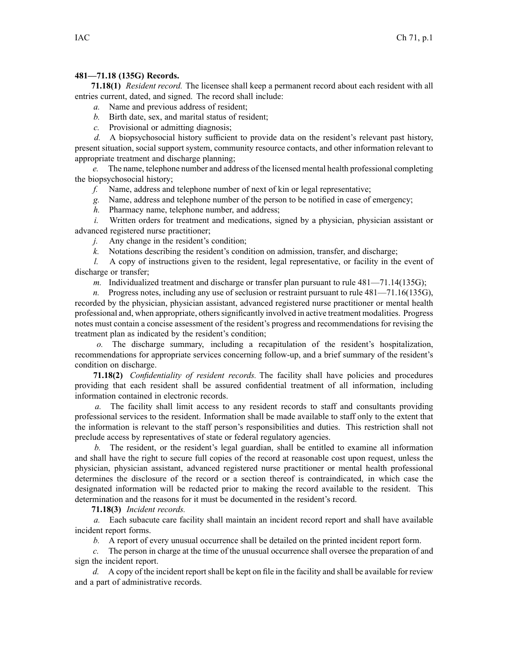## **481—71.18 (135G) Records.**

**71.18(1)** *Resident record.* The licensee shall keep <sup>a</sup> permanen<sup>t</sup> record about each resident with all entries current, dated, and signed. The record shall include:

*a.* Name and previous address of resident;

*b.* Birth date, sex, and marital status of resident;

*c.* Provisional or admitting diagnosis;

*d.* A biopsychosocial history sufficient to provide data on the resident's relevant pas<sup>t</sup> history, presen<sup>t</sup> situation, social suppor<sup>t</sup> system, community resource contacts, and other information relevant to appropriate treatment and discharge planning;

*e.* The name, telephone number and address of the licensed mental health professional completing the biopsychosocial history;

*f.* Name, address and telephone number of next of kin or legal representative;

*g.* Name, address and telephone number of the person to be notified in case of emergency;

*h.* Pharmacy name, telephone number, and address;

*i.* Written orders for treatment and medications, signed by a physician, physician assistant or advanced registered nurse practitioner;

*j.* Any change in the resident's condition;

*k.* Notations describing the resident's condition on admission, transfer, and discharge;

*l.* A copy of instructions given to the resident, legal representative, or facility in the event of discharge or transfer;

*m.* Individualized treatment and discharge or transfer plan pursuant to rule 481—71.14(135G);

*n.* Progress notes, including any use of seclusion or restraint pursuant to rule  $481-71.16(135G)$ , recorded by the physician, physician assistant, advanced registered nurse practitioner or mental health professional and, when appropriate, otherssignificantly involved in active treatment modalities. Progress notes must contain <sup>a</sup> concise assessment of the resident's progress and recommendations for revising the treatment plan as indicated by the resident's condition;

*o.* The discharge summary, including <sup>a</sup> recapitulation of the resident's hospitalization, recommendations for appropriate services concerning follow-up, and <sup>a</sup> brief summary of the resident's condition on discharge.

**71.18(2)** *Confidentiality of resident records.* The facility shall have policies and procedures providing that each resident shall be assured confidential treatment of all information, including information contained in electronic records.

*a.* The facility shall limit access to any resident records to staff and consultants providing professional services to the resident. Information shall be made available to staff only to the extent that the information is relevant to the staff person's responsibilities and duties. This restriction shall not preclude access by representatives of state or federal regulatory agencies.

*b.* The resident, or the resident's legal guardian, shall be entitled to examine all information and shall have the right to secure full copies of the record at reasonable cost upon request, unless the physician, physician assistant, advanced registered nurse practitioner or mental health professional determines the disclosure of the record or <sup>a</sup> section thereof is contraindicated, in which case the designated information will be redacted prior to making the record available to the resident. This determination and the reasons for it must be documented in the resident's record.

**71.18(3)** *Incident records.*

*a.* Each subacute care facility shall maintain an incident record repor<sup>t</sup> and shall have available incident repor<sup>t</sup> forms.

*b.* A repor<sup>t</sup> of every unusual occurrence shall be detailed on the printed incident repor<sup>t</sup> form.

*c.* The person in charge at the time of the unusual occurrence shall oversee the preparation of and sign the incident report.

*d.* A copy of the incident report shall be kept on file in the facility and shall be available for review and <sup>a</sup> par<sup>t</sup> of administrative records.